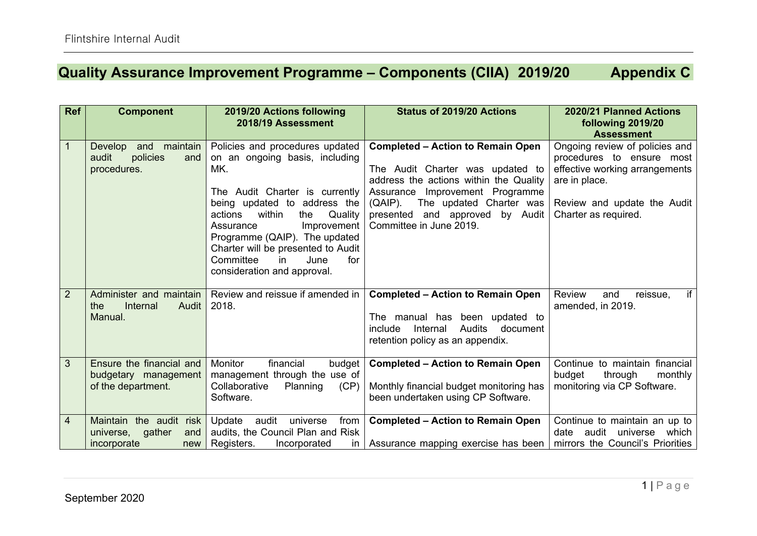## **Quality Assurance Improvement Programme – Components (CIIA) 2019/20 Appendix C**

| <b>Ref</b>     | <b>Component</b>                                                                  | 2019/20 Actions following<br>2018/19 Assessment                                                                                                                                                                                                                                                                                                       | <b>Status of 2019/20 Actions</b>                                                                                                                                                                                                                                    | 2020/21 Planned Actions<br>following 2019/20<br><b>Assessment</b>                                                                                                     |
|----------------|-----------------------------------------------------------------------------------|-------------------------------------------------------------------------------------------------------------------------------------------------------------------------------------------------------------------------------------------------------------------------------------------------------------------------------------------------------|---------------------------------------------------------------------------------------------------------------------------------------------------------------------------------------------------------------------------------------------------------------------|-----------------------------------------------------------------------------------------------------------------------------------------------------------------------|
| $\mathbf{1}$   | maintain<br>and<br>Develop<br>policies<br>audit<br>and<br>procedures.             | Policies and procedures updated<br>on an ongoing basis, including<br>MK.<br>The Audit Charter is currently<br>being updated to address the<br>Quality<br>within<br>the<br>actions<br>Improvement<br>Assurance<br>Programme (QAIP). The updated<br>Charter will be presented to Audit<br>Committee<br>June<br>for<br>in<br>consideration and approval. | <b>Completed – Action to Remain Open</b><br>The Audit Charter was updated to<br>address the actions within the Quality<br>Assurance Improvement Programme<br>$(QAIP)$ .<br>The updated Charter was<br>presented and approved<br>by Audit<br>Committee in June 2019. | Ongoing review of policies and<br>procedures to ensure most<br>effective working arrangements<br>are in place.<br>Review and update the Audit<br>Charter as required. |
| $\overline{2}$ | Administer and maintain<br>Internal<br>Audit<br>the<br>Manual.                    | Review and reissue if amended in  <br>2018.                                                                                                                                                                                                                                                                                                           | <b>Completed - Action to Remain Open</b><br>The manual has been updated to<br><b>Audits</b><br>Internal<br>document<br>include<br>retention policy as an appendix.                                                                                                  | if<br><b>Review</b><br>reissue,<br>and<br>amended, in 2019.                                                                                                           |
| 3              | Ensure the financial and<br>budgetary management<br>of the department.            | <b>Monitor</b><br>financial<br>budget<br>management through the use of<br>Collaborative<br>Planning<br>(CP)<br>Software.                                                                                                                                                                                                                              | <b>Completed - Action to Remain Open</b><br>Monthly financial budget monitoring has<br>been undertaken using CP Software.                                                                                                                                           | Continue to maintain financial<br>budget<br>through<br>monthly<br>monitoring via CP Software.                                                                         |
| 4              | Maintain<br>the audit<br>risk<br>gather<br>universe,<br>and<br>incorporate<br>new | Update<br>audit<br>universe<br>from<br>audits, the Council Plan and Risk<br>Registers.<br>Incorporated                                                                                                                                                                                                                                                | <b>Completed - Action to Remain Open</b><br>in   Assurance mapping exercise has been                                                                                                                                                                                | Continue to maintain an up to<br>audit<br>which<br>date<br>universe<br>mirrors the Council's Priorities                                                               |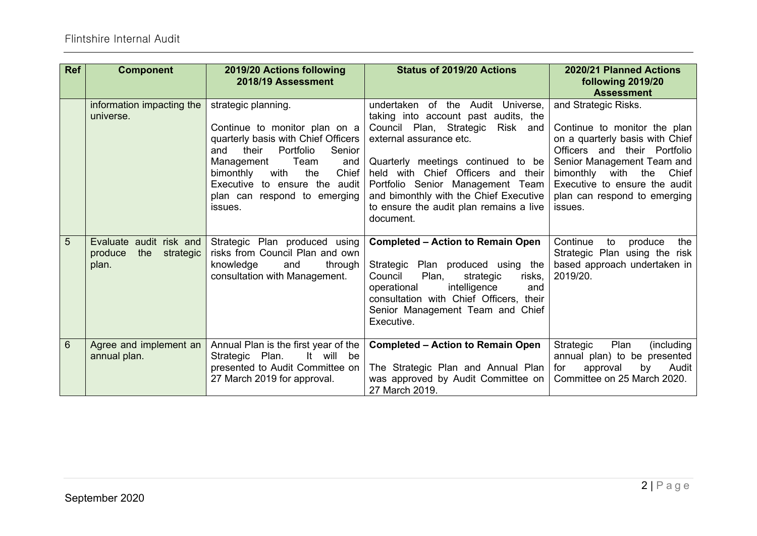| <b>Ref</b>     | <b>Component</b>                                                | 2019/20 Actions following<br>2018/19 Assessment                                                                                                                                                                                                                                           | <b>Status of 2019/20 Actions</b>                                                                                                                                                                                                                                                                                                                              | 2020/21 Planned Actions<br>following 2019/20<br><b>Assessment</b>                                                                                                                                                                                                   |
|----------------|-----------------------------------------------------------------|-------------------------------------------------------------------------------------------------------------------------------------------------------------------------------------------------------------------------------------------------------------------------------------------|---------------------------------------------------------------------------------------------------------------------------------------------------------------------------------------------------------------------------------------------------------------------------------------------------------------------------------------------------------------|---------------------------------------------------------------------------------------------------------------------------------------------------------------------------------------------------------------------------------------------------------------------|
|                | information impacting the<br>universe.                          | strategic planning.<br>Continue to monitor plan on $a \mid$<br>quarterly basis with Chief Officers  <br>Portfolio<br>and<br>their<br>Senior<br>Management<br>Team<br>and<br>Chief<br>the<br>bimonthly<br>with<br>Executive to ensure the audit<br>plan can respond to emerging<br>issues. | undertaken of the Audit Universe,<br>taking into account past audits, the<br>Council Plan, Strategic<br>Risk and<br>external assurance etc.<br>Quarterly meetings continued to be<br>held with Chief Officers and their<br>Portfolio Senior Management Team<br>and bimonthly with the Chief Executive<br>to ensure the audit plan remains a live<br>document. | and Strategic Risks.<br>Continue to monitor the plan<br>on a quarterly basis with Chief<br>Officers and their Portfolio<br>Senior Management Team and<br>bimonthly<br>with the<br>Chief<br>Executive to ensure the audit<br>plan can respond to emerging<br>issues. |
| 5              | Evaluate audit risk and<br>produce<br>the<br>strategic<br>plan. | Strategic Plan produced using<br>risks from Council Plan and own<br>knowledge<br>through<br>and<br>consultation with Management.                                                                                                                                                          | <b>Completed – Action to Remain Open</b><br>Strategic Plan produced using the<br>Plan,<br>Council<br>strategic<br>risks,<br>operational<br>intelligence<br>and<br>consultation with Chief Officers, their<br>Senior Management Team and Chief<br>Executive.                                                                                                   | Continue<br>produce<br>the<br>to<br>Strategic Plan using the risk<br>based approach undertaken in<br>2019/20.                                                                                                                                                       |
| $6\phantom{1}$ | Agree and implement an<br>annual plan.                          | Annual Plan is the first year of the<br>It will be<br>Strategic Plan.<br>presented to Audit Committee on<br>27 March 2019 for approval.                                                                                                                                                   | <b>Completed - Action to Remain Open</b><br>The Strategic Plan and Annual Plan<br>was approved by Audit Committee on<br>27 March 2019.                                                                                                                                                                                                                        | Strategic<br>Plan<br>(including<br>annual plan) to be presented<br>Audit<br>approval<br>by<br>for<br>Committee on 25 March 2020.                                                                                                                                    |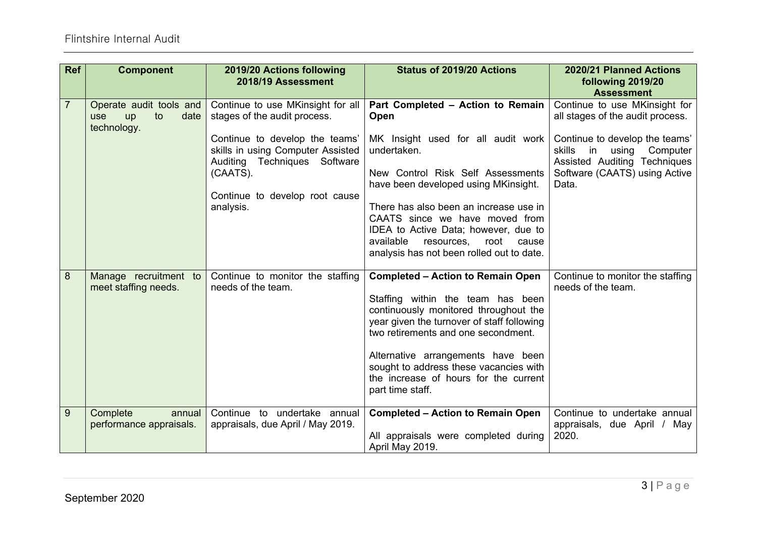| <b>Ref</b>     | <b>Component</b>                                                         | 2019/20 Actions following<br>2018/19 Assessment                                                                                                                                                                                     | <b>Status of 2019/20 Actions</b>                                                                                                                                                                                                                                                                                                                                                         | 2020/21 Planned Actions<br>following 2019/20<br><b>Assessment</b>                                                                                                                                                  |
|----------------|--------------------------------------------------------------------------|-------------------------------------------------------------------------------------------------------------------------------------------------------------------------------------------------------------------------------------|------------------------------------------------------------------------------------------------------------------------------------------------------------------------------------------------------------------------------------------------------------------------------------------------------------------------------------------------------------------------------------------|--------------------------------------------------------------------------------------------------------------------------------------------------------------------------------------------------------------------|
| $\overline{7}$ | Operate audit tools and<br>to<br>date<br><b>up</b><br>use<br>technology. | Continue to use MKinsight for all<br>stages of the audit process.<br>Continue to develop the teams'<br>skills in using Computer Assisted<br>Auditing Techniques Software<br>(CAATS).<br>Continue to develop root cause<br>analysis. | Part Completed - Action to Remain<br>Open<br>MK Insight used for all audit work<br>undertaken.<br>New Control Risk Self Assessments<br>have been developed using MKinsight.<br>There has also been an increase use in<br>CAATS since we have moved from<br>IDEA to Active Data; however, due to<br>available<br>resources,<br>root<br>cause<br>analysis has not been rolled out to date. | Continue to use MKinsight for<br>all stages of the audit process.<br>Continue to develop the teams'<br>skills<br>in<br>Computer<br>using<br>Assisted Auditing Techniques<br>Software (CAATS) using Active<br>Data. |
| 8              | Manage recruitment to<br>meet staffing needs.                            | Continue to monitor the staffing<br>needs of the team.                                                                                                                                                                              | <b>Completed - Action to Remain Open</b><br>Staffing within the team has been<br>continuously monitored throughout the<br>year given the turnover of staff following<br>two retirements and one secondment.<br>Alternative arrangements have been<br>sought to address these vacancies with<br>the increase of hours for the current<br>part time staff.                                 | Continue to monitor the staffing<br>needs of the team.                                                                                                                                                             |
| 9              | Complete<br>annual<br>performance appraisals.                            | Continue to undertake annual<br>appraisals, due April / May 2019.                                                                                                                                                                   | <b>Completed - Action to Remain Open</b><br>All appraisals were completed during<br>April May 2019.                                                                                                                                                                                                                                                                                      | Continue to undertake annual<br>appraisals, due April / May<br>2020.                                                                                                                                               |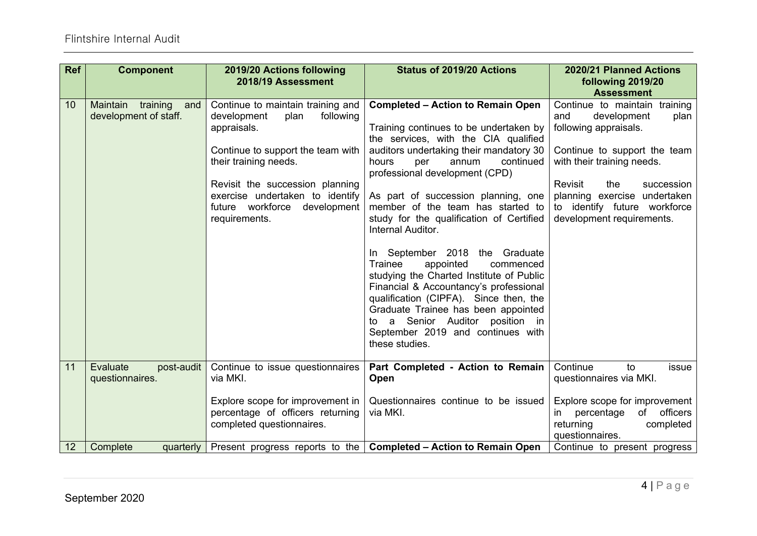| <b>Ref</b> | <b>Component</b>                                     | 2019/20 Actions following<br>2018/19 Assessment                                                                                                                                                                                                                           | Status of 2019/20 Actions                                                                                                                                                                                                                                                                                                                                                                                                                                                                                                                                                                                                                                                                                                             | 2020/21 Planned Actions<br>following 2019/20<br><b>Assessment</b>                                                                                                                                                                                                               |
|------------|------------------------------------------------------|---------------------------------------------------------------------------------------------------------------------------------------------------------------------------------------------------------------------------------------------------------------------------|---------------------------------------------------------------------------------------------------------------------------------------------------------------------------------------------------------------------------------------------------------------------------------------------------------------------------------------------------------------------------------------------------------------------------------------------------------------------------------------------------------------------------------------------------------------------------------------------------------------------------------------------------------------------------------------------------------------------------------------|---------------------------------------------------------------------------------------------------------------------------------------------------------------------------------------------------------------------------------------------------------------------------------|
| 10         | Maintain<br>training<br>and<br>development of staff. | Continue to maintain training and<br>development<br>following<br>plan<br>appraisals.<br>Continue to support the team with<br>their training needs.<br>Revisit the succession planning<br>exercise undertaken to identify<br>future workforce development<br>requirements. | <b>Completed – Action to Remain Open</b><br>Training continues to be undertaken by<br>the services, with the CIA qualified<br>auditors undertaking their mandatory 30<br>hours<br>continued<br>per<br>annum<br>professional development (CPD)<br>As part of succession planning, one<br>member of the team has started to<br>study for the qualification of Certified<br>Internal Auditor.<br>In September 2018 the Graduate<br>Trainee<br>appointed<br>commenced<br>studying the Charted Institute of Public<br>Financial & Accountancy's professional<br>qualification (CIPFA). Since then, the<br>Graduate Trainee has been appointed<br>a Senior Auditor position in<br>to<br>September 2019 and continues with<br>these studies. | Continue to maintain training<br>development<br>and<br>plan<br>following appraisals.<br>Continue to support the team<br>with their training needs.<br>Revisit<br>the<br>succession<br>planning exercise undertaken<br>to identify future workforce<br>development requirements. |
| 11         | Evaluate<br>post-audit<br>questionnaires.            | Continue to issue questionnaires<br>via MKI.                                                                                                                                                                                                                              | Part Completed - Action to Remain<br>Open                                                                                                                                                                                                                                                                                                                                                                                                                                                                                                                                                                                                                                                                                             | Continue<br>to<br>issue<br>questionnaires via MKI.                                                                                                                                                                                                                              |
|            |                                                      | Explore scope for improvement in<br>percentage of officers returning<br>completed questionnaires.                                                                                                                                                                         | Questionnaires continue to be issued<br>via MKI.                                                                                                                                                                                                                                                                                                                                                                                                                                                                                                                                                                                                                                                                                      | Explore scope for improvement<br>officers<br>percentage<br>of<br>returning<br>completed<br>questionnaires.                                                                                                                                                                      |
| 12         | Complete<br>quarterly                                |                                                                                                                                                                                                                                                                           | Present progress reports to the $\vert$ Completed – Action to Remain Open                                                                                                                                                                                                                                                                                                                                                                                                                                                                                                                                                                                                                                                             | Continue to present progress                                                                                                                                                                                                                                                    |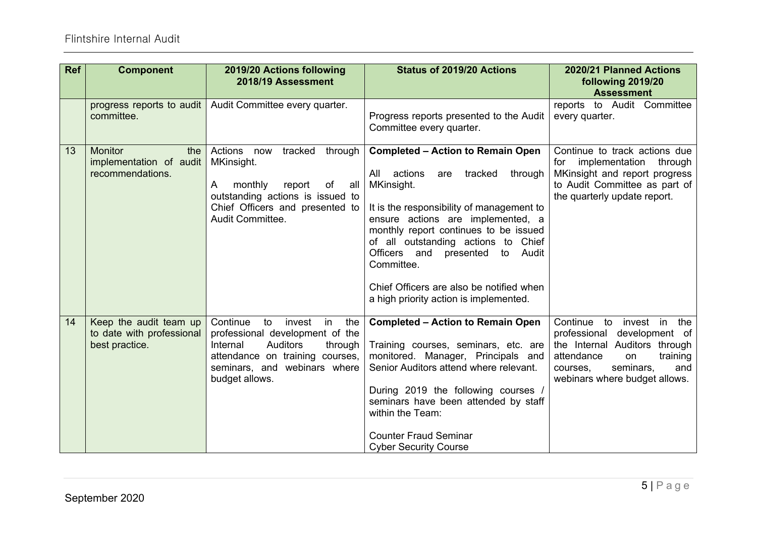| <b>Ref</b> | <b>Component</b>                                                      | 2019/20 Actions following<br>2018/19 Assessment                                                                                                                                                         | <b>Status of 2019/20 Actions</b>                                                                                                                                                                                                                                                                                                                                                                               | 2020/21 Planned Actions<br>following 2019/20<br><b>Assessment</b>                                                                                                                                   |
|------------|-----------------------------------------------------------------------|---------------------------------------------------------------------------------------------------------------------------------------------------------------------------------------------------------|----------------------------------------------------------------------------------------------------------------------------------------------------------------------------------------------------------------------------------------------------------------------------------------------------------------------------------------------------------------------------------------------------------------|-----------------------------------------------------------------------------------------------------------------------------------------------------------------------------------------------------|
|            | progress reports to audit<br>committee.                               | Audit Committee every quarter.                                                                                                                                                                          | Progress reports presented to the Audit<br>Committee every quarter.                                                                                                                                                                                                                                                                                                                                            | reports to Audit Committee<br>every quarter.                                                                                                                                                        |
| 13         | <b>Monitor</b><br>the<br>implementation of audit<br>recommendations.  | Actions now<br>tracked<br>through<br>MKinsight.<br>monthly<br>A<br>report<br>of<br>all<br>outstanding actions is issued to<br>Chief Officers and presented to<br>Audit Committee.                       | <b>Completed - Action to Remain Open</b><br>actions<br>through<br>All<br>tracked<br>are<br>MKinsight.<br>It is the responsibility of management to<br>ensure actions are implemented, a<br>monthly report continues to be issued<br>of all outstanding actions to Chief<br>Officers and presented to Audit<br>Committee.<br>Chief Officers are also be notified when<br>a high priority action is implemented. | Continue to track actions due<br>implementation through<br>for<br>MKinsight and report progress<br>to Audit Committee as part of<br>the quarterly update report.                                    |
| 14         | Keep the audit team up<br>to date with professional<br>best practice. | Continue<br>invest<br>in<br>the<br>to<br>professional development of the<br><b>Auditors</b><br>Internal<br>through<br>attendance on training courses,<br>seminars, and webinars where<br>budget allows. | <b>Completed - Action to Remain Open</b><br>Training courses, seminars, etc. are<br>monitored. Manager, Principals and<br>Senior Auditors attend where relevant.<br>During 2019 the following courses /<br>seminars have been attended by staff<br>within the Team:<br><b>Counter Fraud Seminar</b><br><b>Cyber Security Course</b>                                                                            | Continue to<br>invest in<br>the<br>development of<br>professional<br>the Internal Auditors through<br>attendance<br>training<br>on<br>seminars,<br>and<br>courses,<br>webinars where budget allows. |